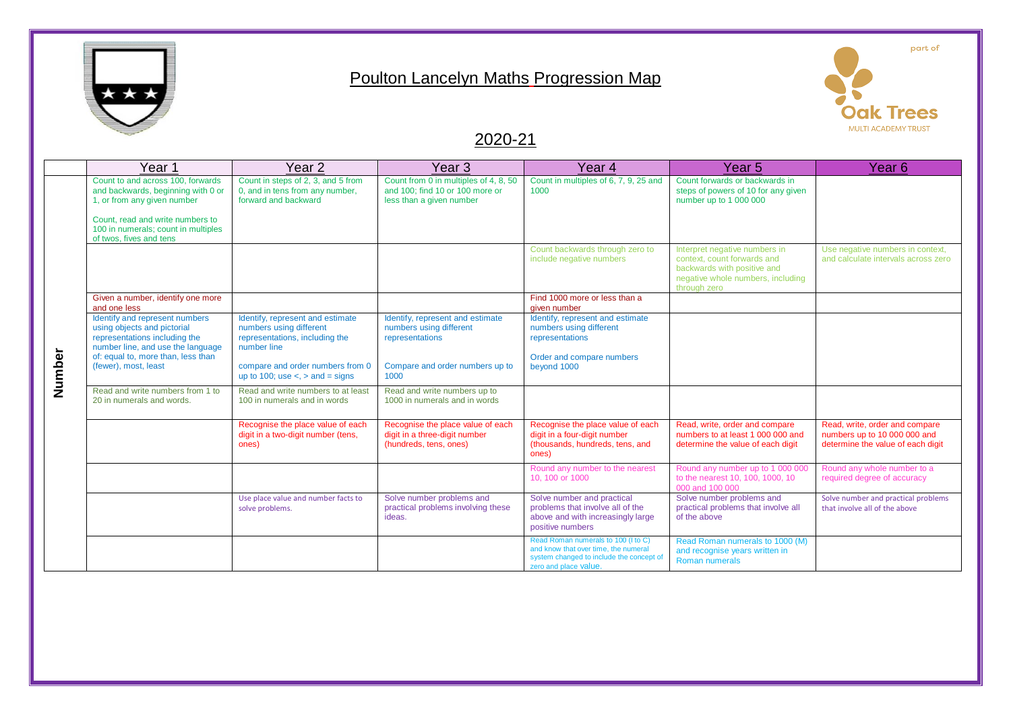

## Poulton Lancelyn Maths Progression Map



## 2020-21

|        | Year 1                                                                                                                                                                                                       | Year <sub>2</sub>                                                                                                                                                                            | Year 3                                                                                                                    | Year 4                                                                                                                                           | Year <sub>5</sub>                                                                                                                                | Year 6                                                                                              |
|--------|--------------------------------------------------------------------------------------------------------------------------------------------------------------------------------------------------------------|----------------------------------------------------------------------------------------------------------------------------------------------------------------------------------------------|---------------------------------------------------------------------------------------------------------------------------|--------------------------------------------------------------------------------------------------------------------------------------------------|--------------------------------------------------------------------------------------------------------------------------------------------------|-----------------------------------------------------------------------------------------------------|
|        | Count to and across 100, forwards<br>and backwards, beginning with 0 or<br>1, or from any given number<br>Count, read and write numbers to<br>100 in numerals; count in multiples<br>of twos, fives and tens | Count in steps of 2, 3, and 5 from<br>0, and in tens from any number,<br>forward and backward                                                                                                | Count from 0 in multiples of 4, 8, 50<br>and 100: find 10 or 100 more or<br>less than a given number                      | Count in multiples of 6, 7, 9, 25 and<br>1000                                                                                                    | Count forwards or backwards in<br>steps of powers of 10 for any given<br>number up to 1 000 000                                                  |                                                                                                     |
|        |                                                                                                                                                                                                              |                                                                                                                                                                                              |                                                                                                                           | Count backwards through zero to<br>include negative numbers                                                                                      | Interpret negative numbers in<br>context, count forwards and<br>backwards with positive and<br>negative whole numbers, including<br>through zero | Use negative numbers in context,<br>and calculate intervals across zero                             |
|        | Given a number, identify one more<br>and one less                                                                                                                                                            |                                                                                                                                                                                              |                                                                                                                           | Find 1000 more or less than a<br>given number                                                                                                    |                                                                                                                                                  |                                                                                                     |
| Number | Identify and represent numbers<br>using objects and pictorial<br>representations including the<br>number line, and use the language<br>of: equal to, more than, less than<br>(fewer), most, least            | Identify, represent and estimate<br>numbers using different<br>representations, including the<br>number line<br>compare and order numbers from 0<br>up to 100; use $\lt$ , $>$ and $=$ signs | Identify, represent and estimate<br>numbers using different<br>representations<br>Compare and order numbers up to<br>1000 | Identify, represent and estimate<br>numbers using different<br>representations<br>Order and compare numbers<br>beyond 1000                       |                                                                                                                                                  |                                                                                                     |
|        | Read and write numbers from 1 to<br>20 in numerals and words.                                                                                                                                                | Read and write numbers to at least<br>100 in numerals and in words                                                                                                                           | Read and write numbers up to<br>1000 in numerals and in words                                                             |                                                                                                                                                  |                                                                                                                                                  |                                                                                                     |
|        |                                                                                                                                                                                                              | Recognise the place value of each<br>digit in a two-digit number (tens,<br>ones)                                                                                                             | Recognise the place value of each<br>digit in a three-digit number<br>(hundreds, tens, ones)                              | Recognise the place value of each<br>digit in a four-digit number<br>(thousands, hundreds, tens, and<br>ones)                                    | Read, write, order and compare<br>numbers to at least 1 000 000 and<br>determine the value of each digit                                         | Read, write, order and compare<br>numbers up to 10 000 000 and<br>determine the value of each digit |
|        |                                                                                                                                                                                                              |                                                                                                                                                                                              |                                                                                                                           | Round any number to the nearest<br>10, 100 or 1000                                                                                               | Round any number up to 1 000 000<br>to the nearest 10, 100, 1000, 10<br>000 and 100 000                                                          | Round any whole number to a<br>required degree of accuracy                                          |
|        |                                                                                                                                                                                                              | Use place value and number facts to<br>solve problems.                                                                                                                                       | Solve number problems and<br>practical problems involving these<br>ideas.                                                 | Solve number and practical<br>problems that involve all of the<br>above and with increasingly large<br>positive numbers                          | Solve number problems and<br>practical problems that involve all<br>of the above                                                                 | Solve number and practical problems<br>that involve all of the above                                |
|        |                                                                                                                                                                                                              |                                                                                                                                                                                              |                                                                                                                           | Read Roman numerals to 100 (I to C)<br>and know that over time, the numeral<br>system changed to include the concept of<br>zero and place value. | Read Roman numerals to 1000 (M)<br>and recognise years written in<br>Roman numerals                                                              |                                                                                                     |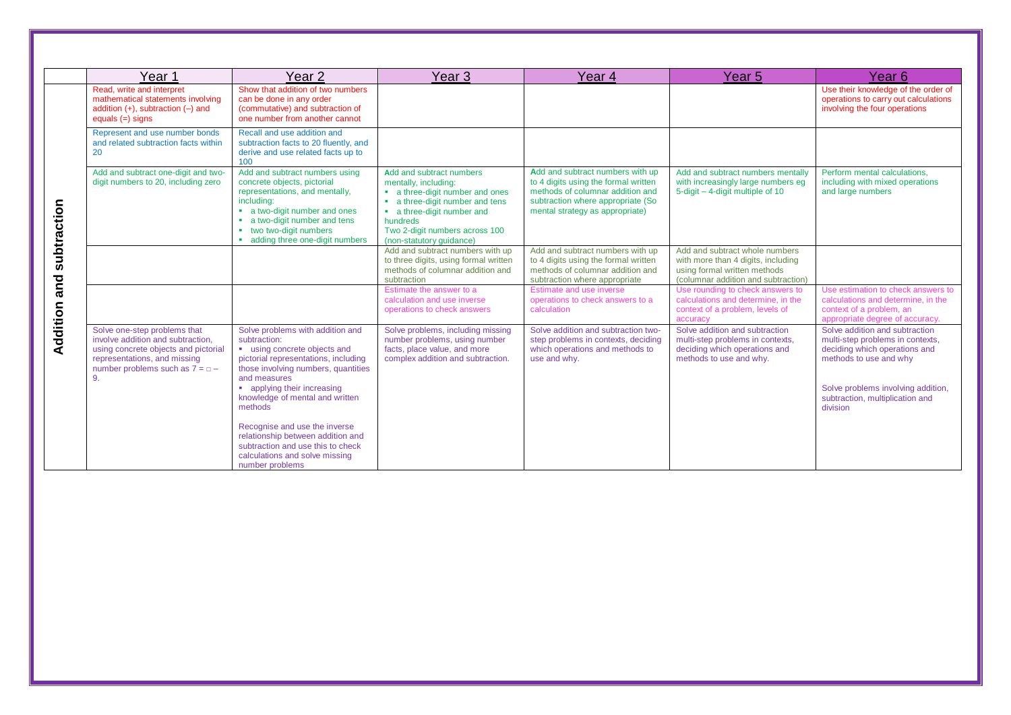|                    | Year 1                                                                                                                                                                               | Year 2                                                                                                                                                                                                                                                       | Year 3                                                                                                                                                                                                                         | Year 4                                                                                                                                                                               | Year 5                                                                                                                                      | Year 6                                                                                                                                                                                                             |
|--------------------|--------------------------------------------------------------------------------------------------------------------------------------------------------------------------------------|--------------------------------------------------------------------------------------------------------------------------------------------------------------------------------------------------------------------------------------------------------------|--------------------------------------------------------------------------------------------------------------------------------------------------------------------------------------------------------------------------------|--------------------------------------------------------------------------------------------------------------------------------------------------------------------------------------|---------------------------------------------------------------------------------------------------------------------------------------------|--------------------------------------------------------------------------------------------------------------------------------------------------------------------------------------------------------------------|
|                    | Read, write and interpret<br>mathematical statements involving<br>addition $(+)$ , subtraction $(-)$ and<br>equals $(=)$ signs                                                       | Show that addition of two numbers<br>can be done in any order<br>(commutative) and subtraction of<br>one number from another cannot                                                                                                                          |                                                                                                                                                                                                                                |                                                                                                                                                                                      |                                                                                                                                             | Use their knowledge of the order of<br>operations to carry out calculations<br>involving the four operations                                                                                                       |
|                    | Represent and use number bonds<br>and related subtraction facts within<br>20                                                                                                         | Recall and use addition and<br>subtraction facts to 20 fluently, and<br>derive and use related facts up to<br>100                                                                                                                                            |                                                                                                                                                                                                                                |                                                                                                                                                                                      |                                                                                                                                             |                                                                                                                                                                                                                    |
| subtraction<br>and | Add and subtract one-digit and two-<br>digit numbers to 20, including zero                                                                                                           | Add and subtract numbers using<br>concrete objects, pictorial<br>representations, and mentally,<br>including:<br>• a two-digit number and ones<br>• a two-digit number and tens<br>two two-digit numbers<br>adding three one-digit numbers                   | Add and subtract numbers<br>mentally, including:<br>• a three-digit number and ones<br>• a three-digit number and tens<br>• a three-digit number and<br>hundreds<br>Two 2-digit numbers across 100<br>(non-statutory quidance) | Add and subtract numbers with up<br>to 4 digits using the formal written<br>methods of columnar addition and<br>subtraction where appropriate (So<br>mental strategy as appropriate) | Add and subtract numbers mentally<br>with increasingly large numbers eg<br>5-digit - 4-digit multiple of 10                                 | Perform mental calculations.<br>including with mixed operations<br>and large numbers                                                                                                                               |
|                    |                                                                                                                                                                                      |                                                                                                                                                                                                                                                              | Add and subtract numbers with up<br>to three digits, using formal written<br>methods of columnar addition and<br>subtraction                                                                                                   | Add and subtract numbers with up<br>to 4 digits using the formal written<br>methods of columnar addition and<br>subtraction where appropriate                                        | Add and subtract whole numbers<br>with more than 4 digits, including<br>using formal written methods<br>(columnar addition and subtraction) |                                                                                                                                                                                                                    |
|                    |                                                                                                                                                                                      |                                                                                                                                                                                                                                                              | Estimate the answer to a<br>calculation and use inverse<br>operations to check answers                                                                                                                                         | Estimate and use inverse<br>operations to check answers to a<br>calculation                                                                                                          | Use rounding to check answers to<br>calculations and determine, in the<br>context of a problem, levels of<br>accuracy                       | Use estimation to check answers to<br>calculations and determine, in the<br>context of a problem, an<br>appropriate degree of accuracy.                                                                            |
| Addition           | Solve one-step problems that<br>involve addition and subtraction.<br>using concrete objects and pictorial<br>representations, and missing<br>number problems such as $7 = 0 -$<br>9. | Solve problems with addition and<br>subtraction:<br>" using concrete objects and<br>pictorial representations, including<br>those involving numbers, quantities<br>and measures<br>• applying their increasing<br>knowledge of mental and written<br>methods | Solve problems, including missing<br>number problems, using number<br>facts, place value, and more<br>complex addition and subtraction.                                                                                        | Solve addition and subtraction two-<br>step problems in contexts, deciding<br>which operations and methods to<br>use and why.                                                        | Solve addition and subtraction<br>multi-step problems in contexts,<br>deciding which operations and<br>methods to use and why.              | Solve addition and subtraction<br>multi-step problems in contexts,<br>deciding which operations and<br>methods to use and why<br>Solve problems involving addition,<br>subtraction, multiplication and<br>division |
|                    |                                                                                                                                                                                      | Recognise and use the inverse<br>relationship between addition and<br>subtraction and use this to check<br>calculations and solve missing<br>number problems                                                                                                 |                                                                                                                                                                                                                                |                                                                                                                                                                                      |                                                                                                                                             |                                                                                                                                                                                                                    |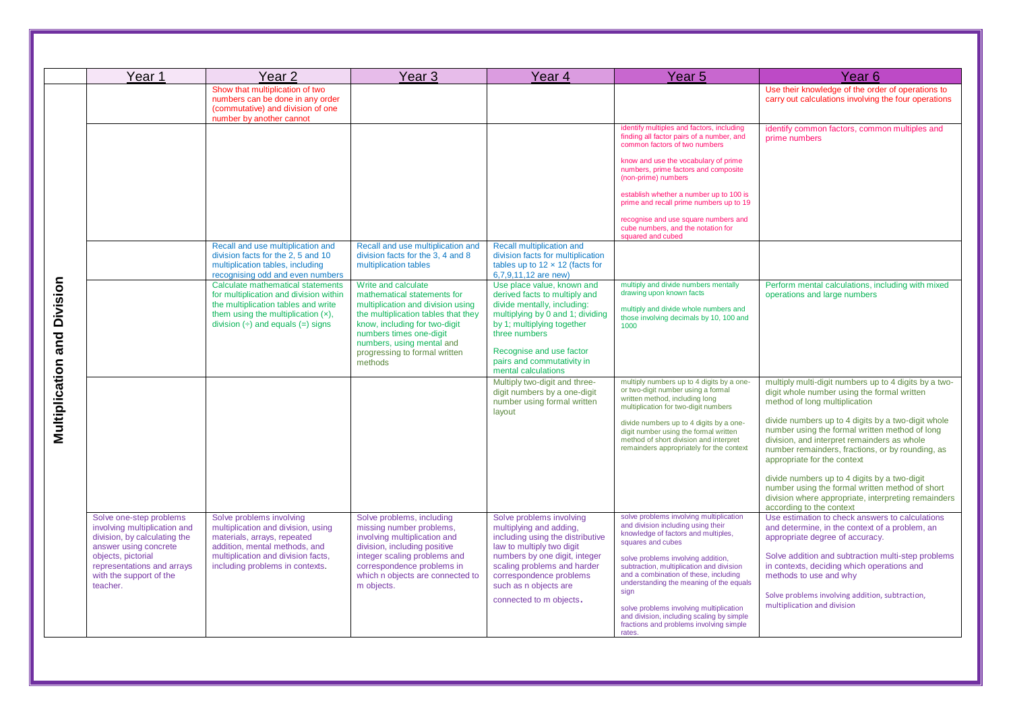|                                   | Year 1                                                                                                                                                           | Year <sub>2</sub>                                                                                                                                                                                       | Year <sub>3</sub>                                                                                                                                                                                                                                                   | Year <sub>4</sub>                                                                                                                                                                                                                                              | Year <sub>5</sub>                                                                                                                                                                                                                                                                                                                   | Year <sub>6</sub>                                                                                                                                                                                                                                                                                                                                                               |
|-----------------------------------|------------------------------------------------------------------------------------------------------------------------------------------------------------------|---------------------------------------------------------------------------------------------------------------------------------------------------------------------------------------------------------|---------------------------------------------------------------------------------------------------------------------------------------------------------------------------------------------------------------------------------------------------------------------|----------------------------------------------------------------------------------------------------------------------------------------------------------------------------------------------------------------------------------------------------------------|-------------------------------------------------------------------------------------------------------------------------------------------------------------------------------------------------------------------------------------------------------------------------------------------------------------------------------------|---------------------------------------------------------------------------------------------------------------------------------------------------------------------------------------------------------------------------------------------------------------------------------------------------------------------------------------------------------------------------------|
|                                   |                                                                                                                                                                  | Show that multiplication of two<br>numbers can be done in any order<br>(commutative) and division of one<br>number by another cannot                                                                    |                                                                                                                                                                                                                                                                     |                                                                                                                                                                                                                                                                |                                                                                                                                                                                                                                                                                                                                     | Use their knowledge of the order of operations to<br>carry out calculations involving the four operations                                                                                                                                                                                                                                                                       |
| Division<br>and<br>Multiplication |                                                                                                                                                                  |                                                                                                                                                                                                         |                                                                                                                                                                                                                                                                     |                                                                                                                                                                                                                                                                | identify multiples and factors, including<br>finding all factor pairs of a number, and<br>common factors of two numbers<br>know and use the vocabulary of prime<br>numbers, prime factors and composite<br>(non-prime) numbers                                                                                                      | identify common factors, common multiples and<br>prime numbers                                                                                                                                                                                                                                                                                                                  |
|                                   |                                                                                                                                                                  |                                                                                                                                                                                                         |                                                                                                                                                                                                                                                                     |                                                                                                                                                                                                                                                                | establish whether a number up to 100 is<br>prime and recall prime numbers up to 19                                                                                                                                                                                                                                                  |                                                                                                                                                                                                                                                                                                                                                                                 |
|                                   |                                                                                                                                                                  |                                                                                                                                                                                                         |                                                                                                                                                                                                                                                                     |                                                                                                                                                                                                                                                                | recognise and use square numbers and<br>cube numbers, and the notation for<br>squared and cubed                                                                                                                                                                                                                                     |                                                                                                                                                                                                                                                                                                                                                                                 |
|                                   |                                                                                                                                                                  | Recall and use multiplication and<br>division facts for the 2, 5 and 10<br>multiplication tables, including<br>recognising odd and even numbers                                                         | Recall and use multiplication and<br>division facts for the 3, 4 and 8<br>multiplication tables                                                                                                                                                                     | <b>Recall multiplication and</b><br>division facts for multiplication<br>tables up to $12 \times 12$ (facts for<br>6,7,9,11,12 are new)                                                                                                                        |                                                                                                                                                                                                                                                                                                                                     |                                                                                                                                                                                                                                                                                                                                                                                 |
|                                   |                                                                                                                                                                  | Calculate mathematical statements<br>for multiplication and division within<br>the multiplication tables and write<br>them using the multiplication $(x)$ ,<br>division $(\div)$ and equals $(=)$ signs | Write and calculate<br>mathematical statements for<br>multiplication and division using<br>the multiplication tables that they<br>know, including for two-digit<br>numbers times one-digit<br>numbers, using mental and<br>progressing to formal written<br>methods | Use place value, known and<br>derived facts to multiply and<br>divide mentally, including:<br>multiplying by 0 and 1; dividing<br>by 1; multiplying together<br>three numbers<br>Recognise and use factor<br>pairs and commutativity in<br>mental calculations | multiply and divide numbers mentally<br>drawing upon known facts<br>multiply and divide whole numbers and<br>those involving decimals by 10, 100 and<br>1000                                                                                                                                                                        | Perform mental calculations, including with mixed<br>operations and large numbers                                                                                                                                                                                                                                                                                               |
|                                   |                                                                                                                                                                  |                                                                                                                                                                                                         |                                                                                                                                                                                                                                                                     | Multiply two-digit and three-<br>digit numbers by a one-digit<br>number using formal written<br>layout                                                                                                                                                         | multiply numbers up to 4 digits by a one-<br>or two-digit number using a formal<br>written method, including long<br>multiplication for two-digit numbers<br>divide numbers up to 4 digits by a one-<br>digit number using the formal written<br>method of short division and interpret<br>remainders appropriately for the context | multiply multi-digit numbers up to 4 digits by a two-<br>digit whole number using the formal written<br>method of long multiplication<br>divide numbers up to 4 digits by a two-digit whole<br>number using the formal written method of long<br>division, and interpret remainders as whole<br>number remainders, fractions, or by rounding, as<br>appropriate for the context |
|                                   |                                                                                                                                                                  |                                                                                                                                                                                                         |                                                                                                                                                                                                                                                                     |                                                                                                                                                                                                                                                                |                                                                                                                                                                                                                                                                                                                                     | divide numbers up to 4 digits by a two-digit<br>number using the formal written method of short<br>division where appropriate, interpreting remainders<br>according to the context                                                                                                                                                                                              |
|                                   | Solve one-step problems<br>involving multiplication and<br>division, by calculating the<br>answer using concrete                                                 | Solve problems involving<br>multiplication and division, using<br>materials, arrays, repeated<br>addition, mental methods, and                                                                          | Solve problems, including<br>missing number problems,<br>involving multiplication and<br>division, including positive                                                                                                                                               | Solve problems involving<br>multiplying and adding,<br>including using the distributive<br>law to multiply two digit                                                                                                                                           | solve problems involving multiplication<br>and division including using their<br>knowledge of factors and multiples,<br>squares and cubes                                                                                                                                                                                           | Use estimation to check answers to calculations<br>and determine, in the context of a problem, an<br>appropriate degree of accuracy.                                                                                                                                                                                                                                            |
|                                   | objects, pictorial<br>multiplication and division facts,<br>including problems in contexts.<br>representations and arrays<br>with the support of the<br>teacher. | integer scaling problems and<br>correspondence problems in<br>which n objects are connected to<br>m objects.                                                                                            | numbers by one digit, integer<br>scaling problems and harder<br>correspondence problems<br>such as n objects are                                                                                                                                                    | solve problems involving addition,<br>subtraction, multiplication and division<br>and a combination of these, including<br>understanding the meaning of the equals<br>sian                                                                                     | Solve addition and subtraction multi-step problems<br>in contexts, deciding which operations and<br>methods to use and why<br>Solve problems involving addition, subtraction,                                                                                                                                                       |                                                                                                                                                                                                                                                                                                                                                                                 |
|                                   |                                                                                                                                                                  |                                                                                                                                                                                                         |                                                                                                                                                                                                                                                                     | connected to m objects.                                                                                                                                                                                                                                        | solve problems involving multiplication<br>and division, including scaling by simple<br>fractions and problems involving simple<br>rates.                                                                                                                                                                                           | multiplication and division                                                                                                                                                                                                                                                                                                                                                     |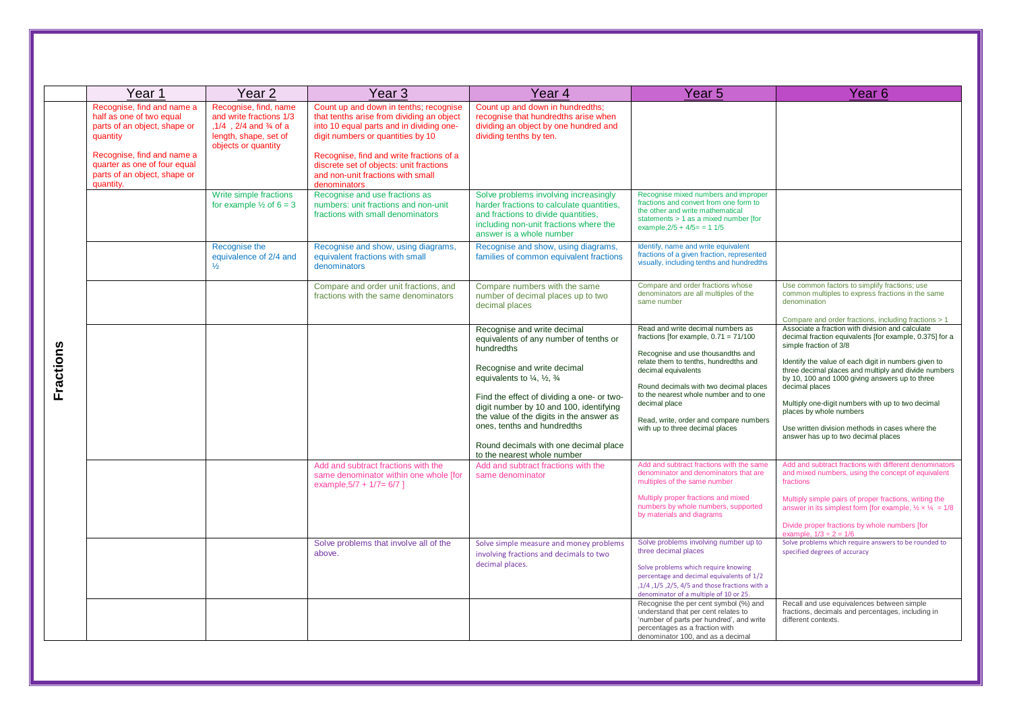|           | Year 1                                                                                                                                                                                                        | Year <sub>2</sub>                                                                                                                        | Year <sub>3</sub>                                                                                                                                                                                                                                                                                                | Year 4                                                                                                                                                                                                                                                                                                                                                                                                                         | Year 5                                                                                                                                                                                                                                                                                                                                                              | Year 6                                                                                                                                                                                                                                                                                                                                                                                                                                                                                                                                                      |
|-----------|---------------------------------------------------------------------------------------------------------------------------------------------------------------------------------------------------------------|------------------------------------------------------------------------------------------------------------------------------------------|------------------------------------------------------------------------------------------------------------------------------------------------------------------------------------------------------------------------------------------------------------------------------------------------------------------|--------------------------------------------------------------------------------------------------------------------------------------------------------------------------------------------------------------------------------------------------------------------------------------------------------------------------------------------------------------------------------------------------------------------------------|---------------------------------------------------------------------------------------------------------------------------------------------------------------------------------------------------------------------------------------------------------------------------------------------------------------------------------------------------------------------|-------------------------------------------------------------------------------------------------------------------------------------------------------------------------------------------------------------------------------------------------------------------------------------------------------------------------------------------------------------------------------------------------------------------------------------------------------------------------------------------------------------------------------------------------------------|
|           | Recognise, find and name a<br>half as one of two equal<br>parts of an object, shape or<br>quantity<br>Recognise, find and name a<br>quarter as one of four equal<br>parts of an object, shape or<br>quantity. | Recognise, find, name<br>and write fractions 1/3<br>$.1/4$ $.2/4$ and $\frac{3}{4}$ of a<br>length, shape, set of<br>objects or quantity | Count up and down in tenths; recognise<br>that tenths arise from dividing an object<br>into 10 equal parts and in dividing one-<br>digit numbers or quantities by 10<br>Recognise, find and write fractions of a<br>discrete set of objects: unit fractions<br>and non-unit fractions with small<br>denominators | Count up and down in hundredths;<br>recognise that hundredths arise when<br>dividing an object by one hundred and<br>dividing tenths by ten.                                                                                                                                                                                                                                                                                   |                                                                                                                                                                                                                                                                                                                                                                     |                                                                                                                                                                                                                                                                                                                                                                                                                                                                                                                                                             |
|           |                                                                                                                                                                                                               | Write simple fractions<br>for example $\frac{1}{2}$ of 6 = 3                                                                             | Recognise and use fractions as<br>numbers: unit fractions and non-unit<br>fractions with small denominators                                                                                                                                                                                                      | Solve problems involving increasingly<br>harder fractions to calculate quantities.<br>and fractions to divide quantities.<br>including non-unit fractions where the<br>answer is a whole number                                                                                                                                                                                                                                | Recognise mixed numbers and improper<br>fractions and convert from one form to<br>the other and write mathematical<br>statements > 1 as a mixed number [for<br>example, $2/5 + 4/5 = 11/5$                                                                                                                                                                          |                                                                                                                                                                                                                                                                                                                                                                                                                                                                                                                                                             |
|           |                                                                                                                                                                                                               | Recognise the<br>equivalence of 2/4 and<br>$\frac{1}{2}$                                                                                 | Recognise and show, using diagrams,<br>equivalent fractions with small<br>denominators                                                                                                                                                                                                                           | Recognise and show, using diagrams,<br>families of common equivalent fractions                                                                                                                                                                                                                                                                                                                                                 | Identify, name and write equivalent<br>fractions of a given fraction, represented<br>visually, including tenths and hundredths                                                                                                                                                                                                                                      |                                                                                                                                                                                                                                                                                                                                                                                                                                                                                                                                                             |
|           |                                                                                                                                                                                                               |                                                                                                                                          | Compare and order unit fractions, and<br>fractions with the same denominators                                                                                                                                                                                                                                    | Compare numbers with the same<br>number of decimal places up to two<br>decimal places                                                                                                                                                                                                                                                                                                                                          | Compare and order fractions whose<br>denominators are all multiples of the<br>same number                                                                                                                                                                                                                                                                           | Use common factors to simplify fractions; use<br>common multiples to express fractions in the same<br>denomination                                                                                                                                                                                                                                                                                                                                                                                                                                          |
| Fractions |                                                                                                                                                                                                               |                                                                                                                                          |                                                                                                                                                                                                                                                                                                                  | Recognise and write decimal<br>equivalents of any number of tenths or<br>hundredths<br>Recognise and write decimal<br>equivalents to $\frac{1}{4}$ , $\frac{1}{2}$ , $\frac{3}{4}$<br>Find the effect of dividing a one- or two-<br>digit number by 10 and 100, identifying<br>the value of the digits in the answer as<br>ones, tenths and hundredths<br>Round decimals with one decimal place<br>to the nearest whole number | Read and write decimal numbers as<br>fractions [for example, $0.71 = 71/100$<br>Recognise and use thousandths and<br>relate them to tenths, hundredths and<br>decimal equivalents<br>Round decimals with two decimal places<br>to the nearest whole number and to one<br>decimal place<br>Read, write, order and compare numbers<br>with up to three decimal places | Compare and order fractions, including fractions > 1<br>Associate a fraction with division and calculate<br>decimal fraction equivalents [for example, 0.375] for a<br>simple fraction of 3/8<br>Identify the value of each digit in numbers given to<br>three decimal places and multiply and divide numbers<br>by 10, 100 and 1000 giving answers up to three<br>decimal places<br>Multiply one-digit numbers with up to two decimal<br>places by whole numbers<br>Use written division methods in cases where the<br>answer has up to two decimal places |
|           |                                                                                                                                                                                                               |                                                                                                                                          | Add and subtract fractions with the<br>same denominator within one whole [for<br>example, $5/7$ + $1/7 = 6/7$ ]                                                                                                                                                                                                  | Add and subtract fractions with the<br>same denominator                                                                                                                                                                                                                                                                                                                                                                        | Add and subtract fractions with the same<br>denominator and denominators that are<br>multiples of the same number<br>Multiply proper fractions and mixed<br>numbers by whole numbers, supported<br>by materials and diagrams                                                                                                                                        | Add and subtract fractions with different denominators<br>and mixed numbers, using the concept of equivalent<br>fractions<br>Multiply simple pairs of proper fractions, writing the<br>answer in its simplest form [for example, $\frac{1}{2} \times \frac{1}{4} = \frac{1}{8}$ ]<br>Divide proper fractions by whole numbers [for<br>example, $1/3 \div 2 = 1/6$                                                                                                                                                                                           |
|           |                                                                                                                                                                                                               |                                                                                                                                          | Solve problems that involve all of the<br>above.                                                                                                                                                                                                                                                                 | Solve simple measure and money problems<br>involving fractions and decimals to two<br>decimal places.                                                                                                                                                                                                                                                                                                                          | Solve problems involving number up to<br>three decimal places<br>Solve problems which require knowing<br>percentage and decimal equivalents of 1/2<br>,1/4, 1/5, 2/5, 4/5 and those fractions with a<br>denominator of a multiple of 10 or 25.                                                                                                                      | Solve problems which require answers to be rounded to<br>specified degrees of accuracy                                                                                                                                                                                                                                                                                                                                                                                                                                                                      |
|           |                                                                                                                                                                                                               |                                                                                                                                          |                                                                                                                                                                                                                                                                                                                  |                                                                                                                                                                                                                                                                                                                                                                                                                                | Recognise the per cent symbol (%) and<br>understand that per cent relates to<br>'number of parts per hundred', and write<br>percentages as a fraction with<br>denominator 100, and as a decimal                                                                                                                                                                     | Recall and use equivalences between simple<br>fractions, decimals and percentages, including in<br>different contexts.                                                                                                                                                                                                                                                                                                                                                                                                                                      |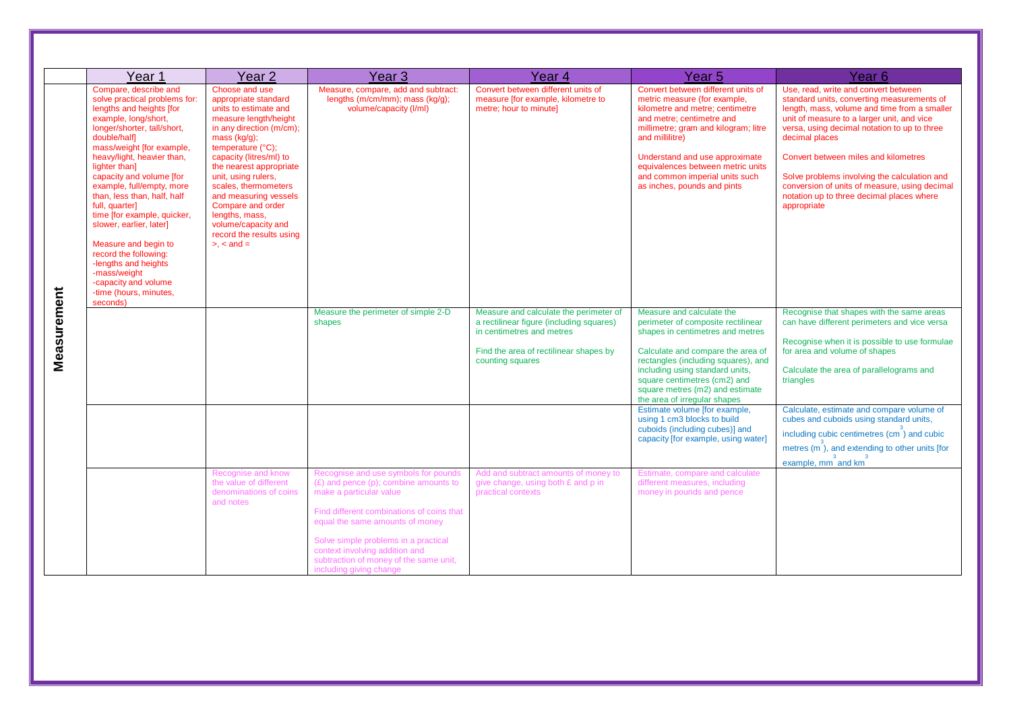| Year <sub>1</sub>                                                                                                                                                                                                                                                                                                                                                                                                                                                                                                                                              | Year <sub>2</sub>                                                                                                                                                                                                                                                                                                                                                                                         | Year <sub>3</sub>                                                                                                                                                                                                                                                                                                                                               | Year 4                                                                                                                                                                                                                                                                            | Year <sub>5</sub>                                                                                                                                                                                                                                                                                                                                                                                                                                                                                                                                               | Year 6                                                                                                                                                                                                                                                                                                                                                                                                                                                               |
|----------------------------------------------------------------------------------------------------------------------------------------------------------------------------------------------------------------------------------------------------------------------------------------------------------------------------------------------------------------------------------------------------------------------------------------------------------------------------------------------------------------------------------------------------------------|-----------------------------------------------------------------------------------------------------------------------------------------------------------------------------------------------------------------------------------------------------------------------------------------------------------------------------------------------------------------------------------------------------------|-----------------------------------------------------------------------------------------------------------------------------------------------------------------------------------------------------------------------------------------------------------------------------------------------------------------------------------------------------------------|-----------------------------------------------------------------------------------------------------------------------------------------------------------------------------------------------------------------------------------------------------------------------------------|-----------------------------------------------------------------------------------------------------------------------------------------------------------------------------------------------------------------------------------------------------------------------------------------------------------------------------------------------------------------------------------------------------------------------------------------------------------------------------------------------------------------------------------------------------------------|----------------------------------------------------------------------------------------------------------------------------------------------------------------------------------------------------------------------------------------------------------------------------------------------------------------------------------------------------------------------------------------------------------------------------------------------------------------------|
| Compare, describe and<br>solve practical problems for:<br>lengths and heights [for<br>example, long/short,<br>longer/shorter, tall/short,<br>double/half]<br>mass/weight [for example,<br>heavy/light, heavier than,<br>lighter than]<br>capacity and volume [for<br>example, full/empty, more<br>than, less than, half, half<br>full, quarter]<br>time [for example, quicker,<br>slower, earlier, later]<br>Measure and begin to<br>record the following:<br>-lengths and heights<br>-mass/weight<br>capacity and volume<br>time (hours, minutes,<br>seconds) | Choose and use<br>appropriate standard<br>units to estimate and<br>measure length/height<br>in any direction (m/cm);<br>$mass (kq/q)$ :<br>temperature (°C);<br>capacity (litres/ml) to<br>the nearest appropriate<br>unit, using rulers,<br>scales, thermometers<br>and measuring vessels<br>Compare and order<br>lengths, mass,<br>volume/capacity and<br>record the results using<br>$> x <$ and $= x$ | Measure, compare, add and subtract:<br>lengths (m/cm/mm); mass (kg/g);<br>volume/capacity (I/ml)                                                                                                                                                                                                                                                                | Convert between different units of<br>measure [for example, kilometre to<br>metre; hour to minute]                                                                                                                                                                                | Convert between different units of<br>metric measure (for example,<br>kilometre and metre: centimetre<br>and metre; centimetre and<br>millimetre; gram and kilogram; litre<br>and millilitre)<br>Understand and use approximate<br>equivalences between metric units<br>and common imperial units such<br>as inches, pounds and pints                                                                                                                                                                                                                           | Use, read, write and convert between<br>standard units, converting measurements of<br>length, mass, volume and time from a smaller<br>unit of measure to a larger unit, and vice<br>versa, using decimal notation to up to three<br>decimal places<br>Convert between miles and kilometres<br>Solve problems involving the calculation and<br>conversion of units of measure, using decimal<br>notation up to three decimal places where<br>appropriate              |
| Measurement                                                                                                                                                                                                                                                                                                                                                                                                                                                                                                                                                    | Recognise and know<br>the value of different<br>denominations of coins<br>and notes                                                                                                                                                                                                                                                                                                                       | Measure the perimeter of simple 2-D<br>shapes<br>Recognise and use symbols for pounds<br>$(E)$ and pence (p); combine amounts to<br>make a particular value<br>Find different combinations of coins that<br>equal the same amounts of money<br>Solve simple problems in a practical<br>context involving addition and<br>subtraction of money of the same unit, | Measure and calculate the perimeter of<br>a rectilinear figure (including squares)<br>in centimetres and metres<br>Find the area of rectilinear shapes by<br>counting squares<br>Add and subtract amounts of money to<br>give change, using both £ and p in<br>practical contexts | Measure and calculate the<br>perimeter of composite rectilinear<br>shapes in centimetres and metres<br>Calculate and compare the area of<br>rectangles (including squares), and<br>including using standard units,<br>square centimetres (cm2) and<br>square metres (m2) and estimate<br>the area of irregular shapes<br>Estimate volume [for example,<br>using 1 cm3 blocks to build<br>cuboids (including cubes)] and<br>capacity [for example, using water]<br>Estimate, compare and calculate<br>different measures, including<br>money in pounds and pence | Recognise that shapes with the same areas<br>can have different perimeters and vice versa<br>Recognise when it is possible to use formulae<br>for area and volume of shapes<br>Calculate the area of parallelograms and<br>triangles<br>Calculate, estimate and compare volume of<br>cubes and cuboids using standard units,<br>including cubic centimetres (cm <sup>3</sup> ) and cubic<br>metres $(m^3)$ , and extending to other units [for<br>example, mm and km |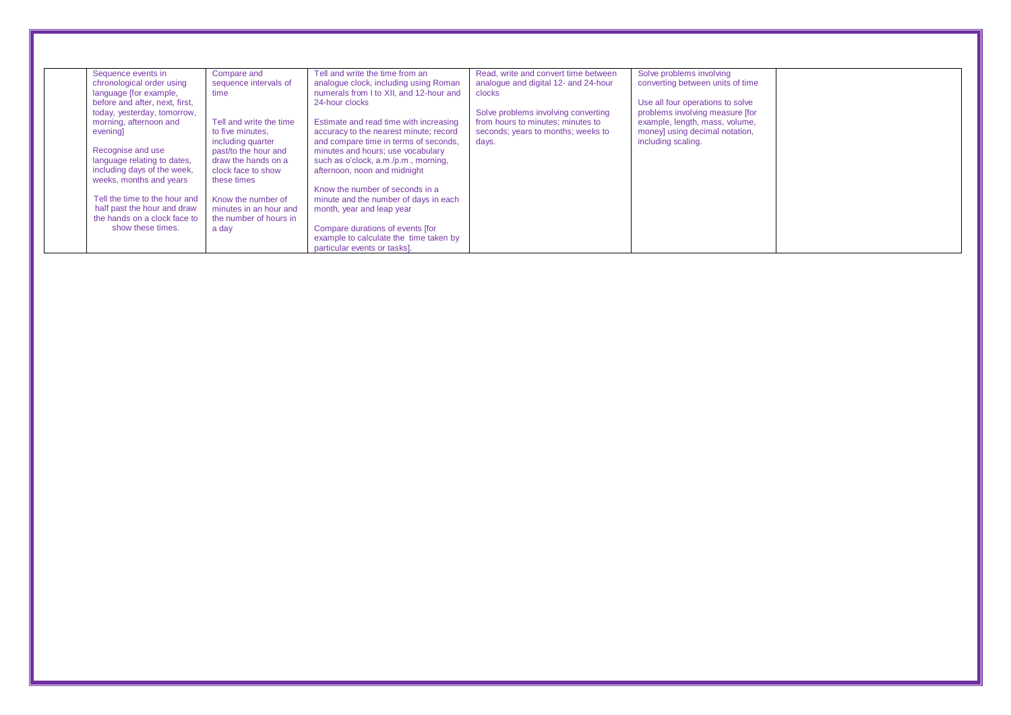| Sequence events in             | Compare and             | Tell and write the time from an         | Read, write and convert time between | Solve problems involving         |  |
|--------------------------------|-------------------------|-----------------------------------------|--------------------------------------|----------------------------------|--|
| chronological order using      | sequence intervals of   | analogue clock, including using Roman   | analogue and digital 12- and 24-hour | converting between units of time |  |
| language [for example,         | time                    | numerals from I to XII, and 12-hour and | clocks                               |                                  |  |
| before and after, next, first, |                         | 24-hour clocks                          |                                      | Use all four operations to solve |  |
| today, yesterday, tomorrow,    |                         |                                         | Solve problems involving converting  | problems involving measure [for  |  |
| morning, afternoon and         | Tell and write the time | Estimate and read time with increasing  | from hours to minutes: minutes to    | example, length, mass, volume,   |  |
| evening                        | to five minutes.        | accuracy to the nearest minute; record  | seconds; years to months; weeks to   | money] using decimal notation,   |  |
|                                | including quarter       | and compare time in terms of seconds,   | days.                                | including scaling.               |  |
| Recognise and use              | past/to the hour and    | minutes and hours; use vocabulary       |                                      |                                  |  |
| language relating to dates,    | draw the hands on a     | such as o'clock, a.m./p.m., morning,    |                                      |                                  |  |
| including days of the week,    | clock face to show      | afternoon, noon and midnight            |                                      |                                  |  |
| weeks, months and years        | these times             |                                         |                                      |                                  |  |
|                                |                         | Know the number of seconds in a         |                                      |                                  |  |
| Tell the time to the hour and  | Know the number of      | minute and the number of days in each   |                                      |                                  |  |
| half past the hour and draw    | minutes in an hour and  | month, year and leap year               |                                      |                                  |  |
| the hands on a clock face to   | the number of hours in  |                                         |                                      |                                  |  |
| show these times.              | a day                   | Compare durations of events [for        |                                      |                                  |  |
|                                |                         | example to calculate the time taken by  |                                      |                                  |  |
|                                |                         | particular events or tasks].            |                                      |                                  |  |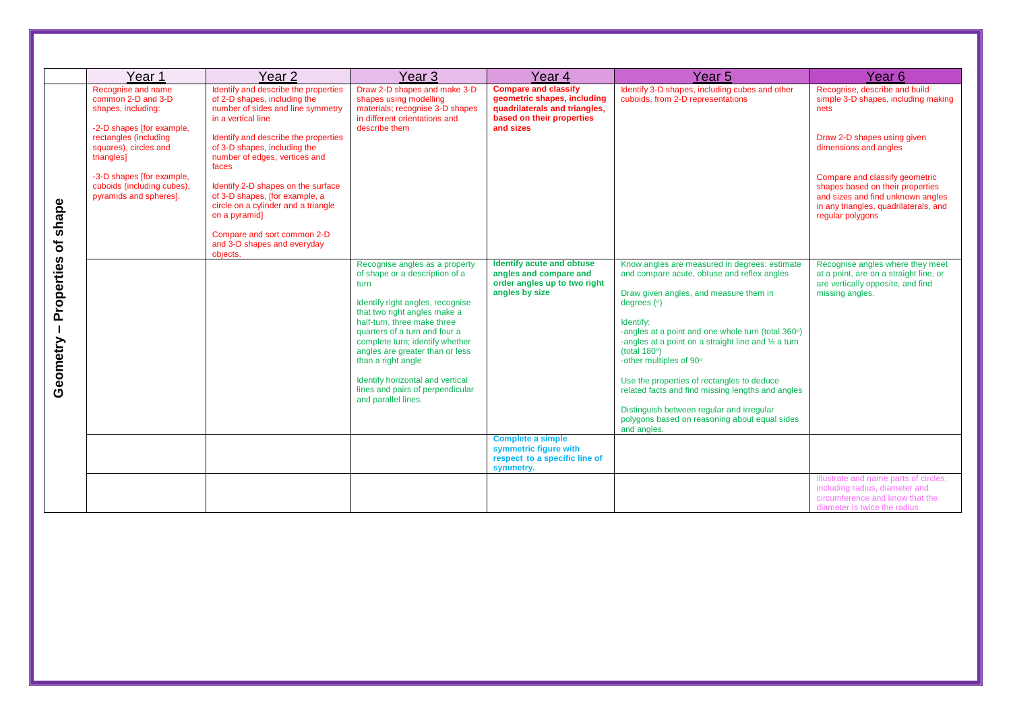|                                        | Year <sub>1</sub>                                                                                                                                                                                                                                | Year <sub>2</sub>                                                                                                                                                                                                                                                                                                                                                                                                                                           | Year <sub>3</sub>                                                                                                                                                                                                                                                                                                                                                                                       | Year 4                                                                                                                                | Year 5                                                                                                                                                                                                                                                                                                                                                                                                                                                                                                                                           | Year 6                                                                                                                                                                                                                                                                                                       |
|----------------------------------------|--------------------------------------------------------------------------------------------------------------------------------------------------------------------------------------------------------------------------------------------------|-------------------------------------------------------------------------------------------------------------------------------------------------------------------------------------------------------------------------------------------------------------------------------------------------------------------------------------------------------------------------------------------------------------------------------------------------------------|---------------------------------------------------------------------------------------------------------------------------------------------------------------------------------------------------------------------------------------------------------------------------------------------------------------------------------------------------------------------------------------------------------|---------------------------------------------------------------------------------------------------------------------------------------|--------------------------------------------------------------------------------------------------------------------------------------------------------------------------------------------------------------------------------------------------------------------------------------------------------------------------------------------------------------------------------------------------------------------------------------------------------------------------------------------------------------------------------------------------|--------------------------------------------------------------------------------------------------------------------------------------------------------------------------------------------------------------------------------------------------------------------------------------------------------------|
| shape<br>৳                             | Recognise and name<br>common 2-D and 3-D<br>shapes, including:<br>-2-D shapes [for example,<br>rectangles (including<br>squares), circles and<br>triangles]<br>-3-D shapes [for example,<br>cuboids (including cubes),<br>pyramids and spheres]. | Identify and describe the properties<br>of 2-D shapes, including the<br>number of sides and line symmetry<br>in a vertical line<br>Identify and describe the properties<br>of 3-D shapes, including the<br>number of edges, vertices and<br>faces<br>Identify 2-D shapes on the surface<br>of 3-D shapes, [for example, a<br>circle on a cylinder and a triangle<br>on a pyramid]<br>Compare and sort common 2-D<br>and 3-D shapes and everyday<br>objects. | Draw 2-D shapes and make 3-D<br>shapes using modelling<br>materials; recognise 3-D shapes<br>in different orientations and<br>describe them                                                                                                                                                                                                                                                             | <b>Compare and classify</b><br>geometric shapes, including<br>quadrilaterals and triangles,<br>based on their properties<br>and sizes | Identify 3-D shapes, including cubes and other<br>cuboids, from 2-D representations                                                                                                                                                                                                                                                                                                                                                                                                                                                              | Recognise, describe and build<br>simple 3-D shapes, including making<br>nets<br>Draw 2-D shapes using given<br>dimensions and angles<br>Compare and classify geometric<br>shapes based on their properties<br>and sizes and find unknown angles<br>in any triangles, quadrilaterals, and<br>regular polygons |
| Properties<br>$\mathbf{I}$<br>Geometry |                                                                                                                                                                                                                                                  |                                                                                                                                                                                                                                                                                                                                                                                                                                                             | Recognise angles as a property<br>of shape or a description of a<br>turn<br>Identify right angles, recognise<br>that two right angles make a<br>half-turn, three make three<br>quarters of a turn and four a<br>complete turn; identify whether<br>angles are greater than or less<br>than a right angle<br>Identify horizontal and vertical<br>lines and pairs of perpendicular<br>and parallel lines. | Identify acute and obtuse<br>angles and compare and<br>order angles up to two right<br>angles by size                                 | Know angles are measured in degrees: estimate<br>and compare acute, obtuse and reflex angles<br>Draw given angles, and measure them in<br>degrees $(°)$<br>Identify:<br>-angles at a point and one whole turn (total 360°)<br>-angles at a point on a straight line and 1/2 a turn<br>(total $180°$ )<br>-other multiples of 90°<br>Use the properties of rectangles to deduce<br>related facts and find missing lengths and angles<br>Distinguish between regular and irregular<br>polygons based on reasoning about equal sides<br>and angles. | Recognise angles where they meet<br>at a point, are on a straight line, or<br>are vertically opposite, and find<br>missing angles.                                                                                                                                                                           |
|                                        |                                                                                                                                                                                                                                                  |                                                                                                                                                                                                                                                                                                                                                                                                                                                             |                                                                                                                                                                                                                                                                                                                                                                                                         | <b>Complete a simple</b><br>symmetric figure with<br>respect to a specific line of<br>symmetry.                                       |                                                                                                                                                                                                                                                                                                                                                                                                                                                                                                                                                  |                                                                                                                                                                                                                                                                                                              |
|                                        |                                                                                                                                                                                                                                                  |                                                                                                                                                                                                                                                                                                                                                                                                                                                             |                                                                                                                                                                                                                                                                                                                                                                                                         |                                                                                                                                       |                                                                                                                                                                                                                                                                                                                                                                                                                                                                                                                                                  | Illustrate and name parts of circles,<br>including radius, diameter and<br>circumference and know that the<br>diameter is twice the radius                                                                                                                                                                   |